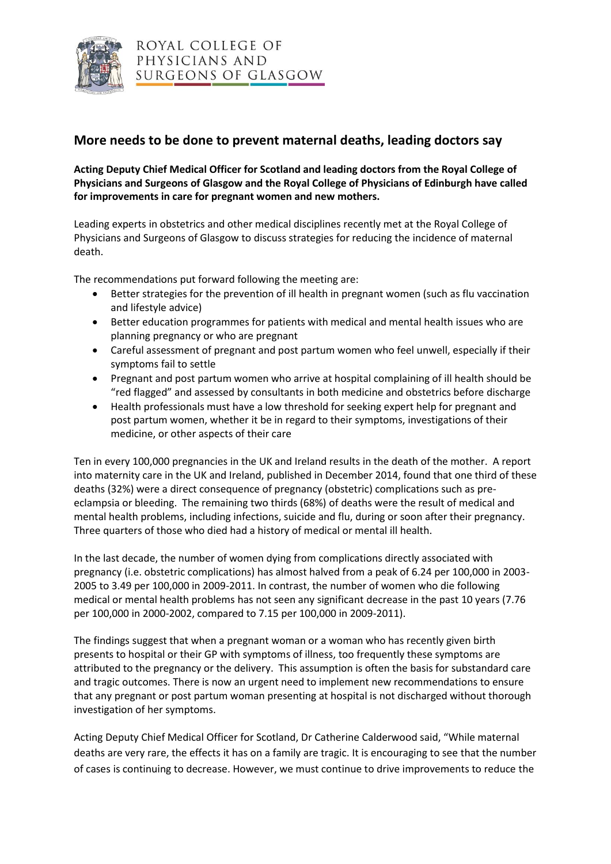

## **More needs to be done to prevent maternal deaths, leading doctors say**

**Acting Deputy Chief Medical Officer for Scotland and leading doctors from the Royal College of Physicians and Surgeons of Glasgow and the Royal College of Physicians of Edinburgh have called for improvements in care for pregnant women and new mothers.**

Leading experts in obstetrics and other medical disciplines recently met at the Royal College of Physicians and Surgeons of Glasgow to discuss strategies for reducing the incidence of maternal death.

The recommendations put forward following the meeting are:

- Better strategies for the prevention of ill health in pregnant women (such as flu vaccination and lifestyle advice)
- Better education programmes for patients with medical and mental health issues who are planning pregnancy or who are pregnant
- Careful assessment of pregnant and post partum women who feel unwell, especially if their symptoms fail to settle
- Pregnant and post partum women who arrive at hospital complaining of ill health should be "red flagged" and assessed by consultants in both medicine and obstetrics before discharge
- Health professionals must have a low threshold for seeking expert help for pregnant and post partum women, whether it be in regard to their symptoms, investigations of their medicine, or other aspects of their care

Ten in every 100,000 pregnancies in the UK and Ireland results in the death of the mother. A report into maternity care in the UK and Ireland, published in December 2014, found that one third of these deaths (32%) were a direct consequence of pregnancy (obstetric) complications such as preeclampsia or bleeding. The remaining two thirds (68%) of deaths were the result of medical and mental health problems, including infections, suicide and flu, during or soon after their pregnancy. Three quarters of those who died had a history of medical or mental ill health.

In the last decade, the number of women dying from complications directly associated with pregnancy (i.e. obstetric complications) has almost halved from a peak of 6.24 per 100,000 in 2003- 2005 to 3.49 per 100,000 in 2009-2011. In contrast, the number of women who die following medical or mental health problems has not seen any significant decrease in the past 10 years (7.76 per 100,000 in 2000-2002, compared to 7.15 per 100,000 in 2009-2011).

The findings suggest that when a pregnant woman or a woman who has recently given birth presents to hospital or their GP with symptoms of illness, too frequently these symptoms are attributed to the pregnancy or the delivery. This assumption is often the basis for substandard care and tragic outcomes. There is now an urgent need to implement new recommendations to ensure that any pregnant or post partum woman presenting at hospital is not discharged without thorough investigation of her symptoms.

Acting Deputy Chief Medical Officer for Scotland, Dr Catherine Calderwood said, "While maternal deaths are very rare, the effects it has on a family are tragic. It is encouraging to see that the number of cases is continuing to decrease. However, we must continue to drive improvements to reduce the